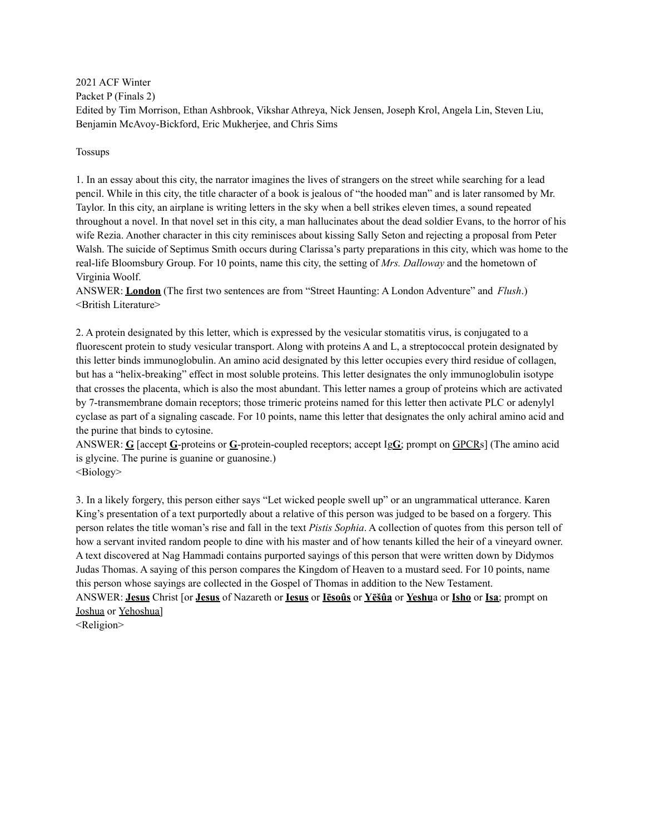2021 ACF Winter Packet P (Finals 2) Edited by Tim Morrison, Ethan Ashbrook, Vikshar Athreya, Nick Jensen, Joseph Krol, Angela Lin, Steven Liu, Benjamin McAvoy-Bickford, Eric Mukherjee, and Chris Sims

Tossups

1. In an essay about this city, the narrator imagines the lives of strangers on the street while searching for a lead pencil. While in this city, the title character of a book is jealous of "the hooded man" and is later ransomed by Mr. Taylor. In this city, an airplane is writing letters in the sky when a bell strikes eleven times, a sound repeated throughout a novel. In that novel set in this city, a man hallucinates about the dead soldier Evans, to the horror of his wife Rezia. Another character in this city reminisces about kissing Sally Seton and rejecting a proposal from Peter Walsh. The suicide of Septimus Smith occurs during Clarissa's party preparations in this city, which was home to the real-life Bloomsbury Group. For 10 points, name this city, the setting of *Mrs. Dalloway* and the hometown of Virginia Woolf.

ANSWER: **London** (The first two sentences are from "Street Haunting: A London Adventure" and *Flush*.) <British Literature>

2. A protein designated by this letter, which is expressed by the vesicular stomatitis virus, is conjugated to a fluorescent protein to study vesicular transport. Along with proteins A and L, a streptococcal protein designated by this letter binds immunoglobulin. An amino acid designated by this letter occupies every third residue of collagen, but has a "helix-breaking" effect in most soluble proteins. This letter designates the only immunoglobulin isotype that crosses the placenta, which is also the most abundant. This letter names a group of proteins which are activated by 7-transmembrane domain receptors; those trimeric proteins named for this letter then activate PLC or adenylyl cyclase as part of a signaling cascade. For 10 points, name this letter that designates the only achiral amino acid and the purine that binds to cytosine.

ANSWER: **G** [accept **G**-proteins or **G**-protein-coupled receptors; accept Ig**G**; prompt on GPCRs] (The amino acid is glycine. The purine is guanine or guanosine.) <Biology>

3. In a likely forgery, this person either says "Let wicked people swell up" or an ungrammatical utterance. Karen King's presentation of a text purportedly about a relative of this person was judged to be based on a forgery. This person relates the title woman's rise and fall in the text *Pistis Sophia*. A collection of quotes from this person tell of how a servant invited random people to dine with his master and of how tenants killed the heir of a vineyard owner. A text discovered at Nag Hammadi contains purported sayings of this person that were written down by Didymos Judas Thomas. A saying of this person compares the Kingdom of Heaven to a mustard seed. For 10 points, name this person whose sayings are collected in the Gospel of Thomas in addition to the New Testament. ANSWER: **Jesus** Christ [or **Jesus** of Nazareth or **Iesus** or **Iēsoûs** or **Yēšûa** or **Yeshu**a or **Isho** or **Isa**; prompt on Joshua or Yehoshua]

<Religion>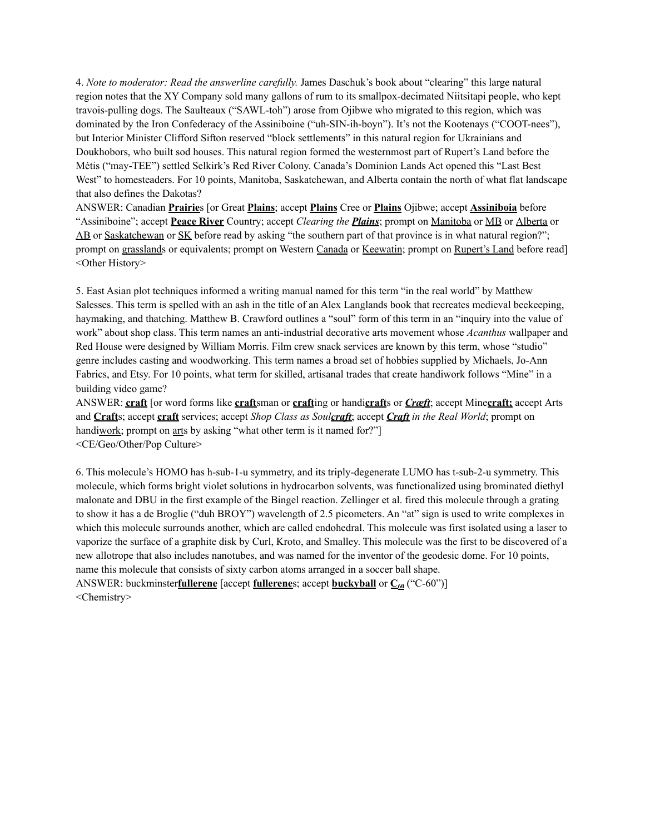4. *Note to moderator: Read the answerline carefully.* James Daschuk's book about "clearing" this large natural region notes that the XY Company sold many gallons of rum to its smallpox-decimated Niitsitapi people, who kept travois-pulling dogs. The Saulteaux ("SAWL-toh") arose from Ojibwe who migrated to this region, which was dominated by the Iron Confederacy of the Assiniboine ("uh-SIN-ih-boyn"). It's not the Kootenays ("COOT-nees"), but Interior Minister Clifford Sifton reserved "block settlements" in this natural region for Ukrainians and Doukhobors, who built sod houses. This natural region formed the westernmost part of Rupert's Land before the Métis ("may-TEE") settled Selkirk's Red River Colony. Canada's Dominion Lands Act opened this "Last Best West" to homesteaders. For 10 points, Manitoba, Saskatchewan, and Alberta contain the north of what flat landscape that also defines the Dakotas?

ANSWER: Canadian **Prairie**s [or Great **Plains**; accept **Plains** Cree or **Plains** Ojibwe; accept **Assiniboia** before "Assiniboine"; accept **Peace River** Country; accept *Clearing the Plains*; prompt on Manitoba or MB or Alberta or AB or Saskatchewan or SK before read by asking "the southern part of that province is in what natural region?"; prompt on grasslands or equivalents; prompt on Western Canada or Keewatin; prompt on Rupert's Land before read] <Other History>

5. East Asian plot techniques informed a writing manual named for this term "in the real world" by Matthew Salesses. This term is spelled with an ash in the title of an Alex Langlands book that recreates medieval beekeeping, haymaking, and thatching. Matthew B. Crawford outlines a "soul" form of this term in an "inquiry into the value of work" about shop class. This term names an anti-industrial decorative arts movement whose *Acanthus* wallpaper and Red House were designed by William Morris. Film crew snack services are known by this term, whose "studio" genre includes casting and woodworking. This term names a broad set of hobbies supplied by Michaels, Jo-Ann Fabrics, and Etsy. For 10 points, what term for skilled, artisanal trades that create handiwork follows "Mine" in a building video game?

ANSWER: **craft** [or word forms like **craft**sman or **craft**ing or handi**craft**s or *Cræft*; accept Mine**craft;** accept Arts and **Craft**s; accept **craft** services; accept *Shop Class as Soulcraft*; accept *Craft in the Real World*; prompt on handiwork; prompt on arts by asking "what other term is it named for?" <CE/Geo/Other/Pop Culture>

6. This molecule's HOMO has h-sub-1-u symmetry, and its triply-degenerate LUMO has t-sub-2-u symmetry. This molecule, which forms bright violet solutions in hydrocarbon solvents, was functionalized using brominated diethyl malonate and DBU in the first example of the Bingel reaction. Zellinger et al. fired this molecule through a grating to show it has a de Broglie ("duh BROY") wavelength of 2.5 picometers. An "at" sign is used to write complexes in which this molecule surrounds another, which are called endohedral. This molecule was first isolated using a laser to vaporize the surface of a graphite disk by Curl, Kroto, and Smalley. This molecule was the first to be discovered of a new allotrope that also includes nanotubes, and was named for the inventor of the geodesic dome. For 10 points, name this molecule that consists of sixty carbon atoms arranged in a soccer ball shape.

ANSWER: buckminster**fullerene** [accept **fullerene**s; accept **buckyball** or  $C_{60}$  ("C-60")] <Chemistry>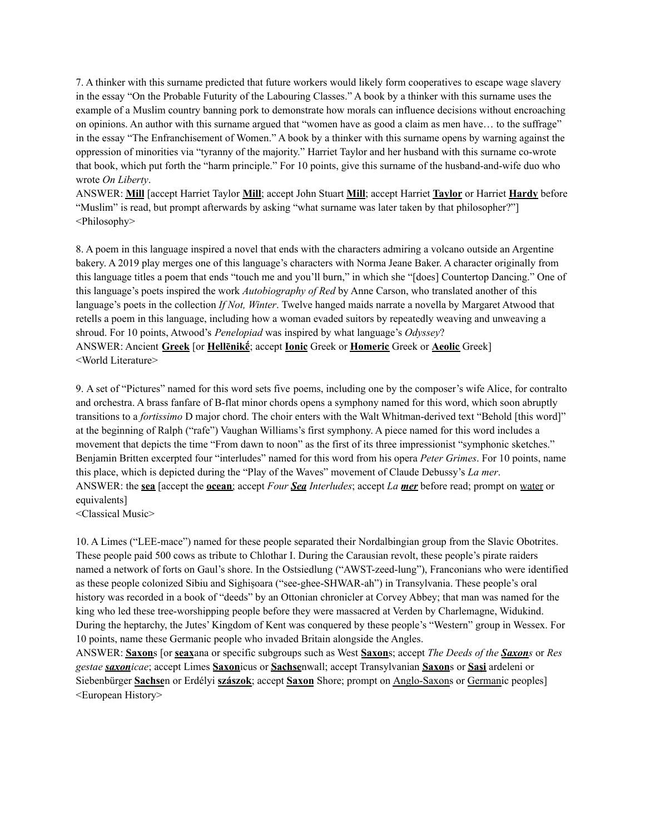7. A thinker with this surname predicted that future workers would likely form cooperatives to escape wage slavery in the essay "On the Probable Futurity of the Labouring Classes." A book by a thinker with this surname uses the example of a Muslim country banning pork to demonstrate how morals can influence decisions without encroaching on opinions. An author with this surname argued that "women have as good a claim as men have… to the suffrage" in the essay "The Enfranchisement of Women." A book by a thinker with this surname opens by warning against the oppression of minorities via "tyranny of the majority." Harriet Taylor and her husband with this surname co-wrote that book, which put forth the "harm principle." For 10 points, give this surname of the husband-and-wife duo who wrote *On Liberty*.

ANSWER: **Mill** [accept Harriet Taylor **Mill**; accept John Stuart **Mill**; accept Harriet **Taylor** or Harriet **Hardy** before "Muslim" is read, but prompt afterwards by asking "what surname was later taken by that philosopher?"] <Philosophy>

8. A poem in this language inspired a novel that ends with the characters admiring a volcano outside an Argentine bakery. A 2019 play merges one of this language's characters with Norma Jeane Baker. A character originally from this language titles a poem that ends "touch me and you'll burn," in which she "[does] Countertop Dancing." One of this language's poets inspired the work *Autobiography of Red* by Anne Carson, who translated another of this language's poets in the collection *If Not, Winter*. Twelve hanged maids narrate a novella by Margaret Atwood that retells a poem in this language, including how a woman evaded suitors by repeatedly weaving and unweaving a shroud. For 10 points, Atwood's *Penelopiad* was inspired by what language's *Odyssey*? ANSWER: Ancient **Greek** [or **Hellēnikḗ**; accept **Ionic** Greek or **Homeric** Greek or **Aeolic** Greek] <World Literature>

9. A set of "Pictures" named for this word sets five poems, including one by the composer's wife Alice, for contralto and orchestra. A brass fanfare of B-flat minor chords opens a symphony named for this word, which soon abruptly transitions to a *fortissimo* D major chord. The choir enters with the Walt Whitman-derived text "Behold [this word]" at the beginning of Ralph ("rafe") Vaughan Williams's first symphony. A piece named for this word includes a movement that depicts the time "From dawn to noon" as the first of its three impressionist "symphonic sketches." Benjamin Britten excerpted four "interludes" named for this word from his opera *Peter Grimes*. For 10 points, name this place, which is depicted during the "Play of the Waves" movement of Claude Debussy's *La mer*. ANSWER: the **sea** [accept the **ocean**; accept *Four Sea Interludes*; accept *La mer* before read; prompt on water or equivalents]

<Classical Music>

10. A Limes ("LEE-mace") named for these people separated their Nordalbingian group from the Slavic Obotrites. These people paid 500 cows as tribute to Chlothar I. During the Carausian revolt, these people's pirate raiders named a network of forts on Gaul's shore. In the Ostsiedlung ("AWST-zeed-lung"), Franconians who were identified as these people colonized Sibiu and Sighișoara ("see-ghee-SHWAR-ah") in Transylvania. These people's oral history was recorded in a book of "deeds" by an Ottonian chronicler at Corvey Abbey; that man was named for the king who led these tree-worshipping people before they were massacred at Verden by Charlemagne, Widukind. During the heptarchy, the Jutes' Kingdom of Kent was conquered by these people's "Western" group in Wessex. For 10 points, name these Germanic people who invaded Britain alongside the Angles.

ANSWER: **Saxon**s [or **seax**ana or specific subgroups such as West **Saxon**s; accept *The Deeds of the Saxons* or *Res gestae saxonicae*; accept Limes **Saxon**icus or **Sachse**nwall; accept Transylvanian **Saxon**s or **Sași** ardeleni or Siebenbürger **Sachse**n or Erdélyi **szászok**; accept **Saxon** Shore; prompt on Anglo-Saxons or Germanic peoples] <European History>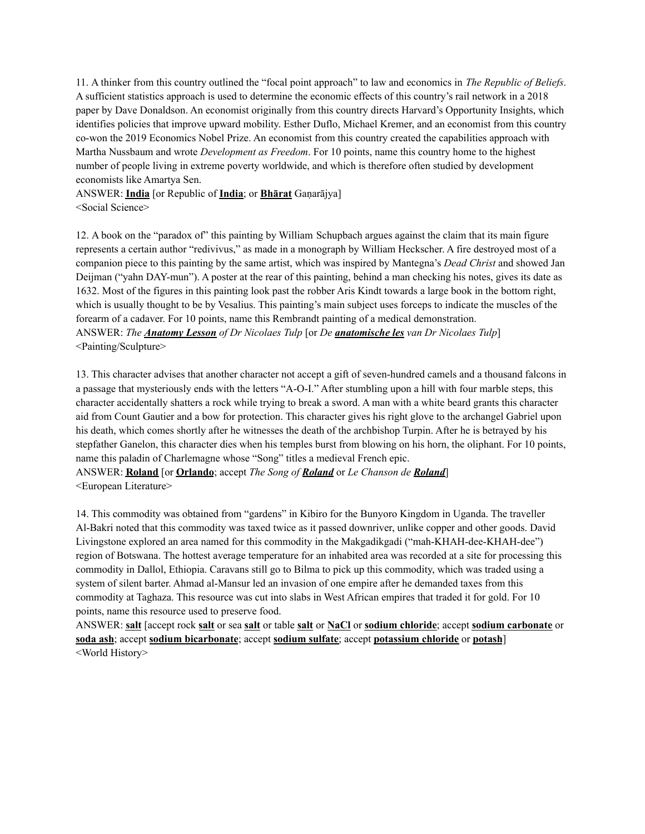11. A thinker from this country outlined the "focal point approach" to law and economics in *The Republic of Beliefs*. A sufficient statistics approach is used to determine the economic effects of this country's rail network in a 2018 paper by Dave Donaldson. An economist originally from this country directs Harvard's Opportunity Insights, which identifies policies that improve upward mobility. Esther Duflo, Michael Kremer, and an economist from this country co-won the 2019 Economics Nobel Prize. An economist from this country created the capabilities approach with Martha Nussbaum and wrote *Development as Freedom*. For 10 points, name this country home to the highest number of people living in extreme poverty worldwide, and which is therefore often studied by development economists like Amartya Sen.

ANSWER: **India** [or Republic of **India**; or **Bhārat** Gaṇarājya] <Social Science>

12. A book on the "paradox of" this painting by William Schupbach argues against the claim that its main figure represents a certain author "redivivus," as made in a monograph by William Heckscher. A fire destroyed most of a companion piece to this painting by the same artist, which was inspired by Mantegna's *Dead Christ* and showed Jan Deijman ("yahn DAY-mun"). A poster at the rear of this painting, behind a man checking his notes, gives its date as 1632. Most of the figures in this painting look past the robber Aris Kindt towards a large book in the bottom right, which is usually thought to be by Vesalius. This painting's main subject uses forceps to indicate the muscles of the forearm of a cadaver. For 10 points, name this Rembrandt painting of a medical demonstration. ANSWER: *The Anatomy Lesson of Dr Nicolaes Tulp* [or *De anatomische les van Dr Nicolaes Tulp*] <Painting/Sculpture>

13. This character advises that another character not accept a gift of seven-hundred camels and a thousand falcons in a passage that mysteriously ends with the letters "A-O-I." After stumbling upon a hill with four marble steps, this character accidentally shatters a rock while trying to break a sword. A man with a white beard grants this character aid from Count Gautier and a bow for protection. This character gives his right glove to the archangel Gabriel upon his death, which comes shortly after he witnesses the death of the archbishop Turpin. After he is betrayed by his stepfather Ganelon, this character dies when his temples burst from blowing on his horn, the oliphant. For 10 points, name this paladin of Charlemagne whose "Song" titles a medieval French epic.

ANSWER: **Roland** [or **Orlando**; accept *The Song of Roland* or *Le Chanson de Roland*] <European Literature>

14. This commodity was obtained from "gardens" in Kibiro for the Bunyoro Kingdom in Uganda. The traveller Al-Bakri noted that this commodity was taxed twice as it passed downriver, unlike copper and other goods. David Livingstone explored an area named for this commodity in the Makgadikgadi ("mah-KHAH-dee-KHAH-dee") region of Botswana. The hottest average temperature for an inhabited area was recorded at a site for processing this commodity in Dallol, Ethiopia. Caravans still go to Bilma to pick up this commodity, which was traded using a system of silent barter. Ahmad al-Mansur led an invasion of one empire after he demanded taxes from this commodity at Taghaza. This resource was cut into slabs in West African empires that traded it for gold. For 10 points, name this resource used to preserve food.

ANSWER: **salt** [accept rock **salt** or sea **salt** or table **salt** or **NaCl** or **sodium chloride**; accept **sodium carbonate** or **soda ash**; accept **sodium bicarbonate**; accept **sodium sulfate**; accept **potassium chloride** or **potash**] <World History>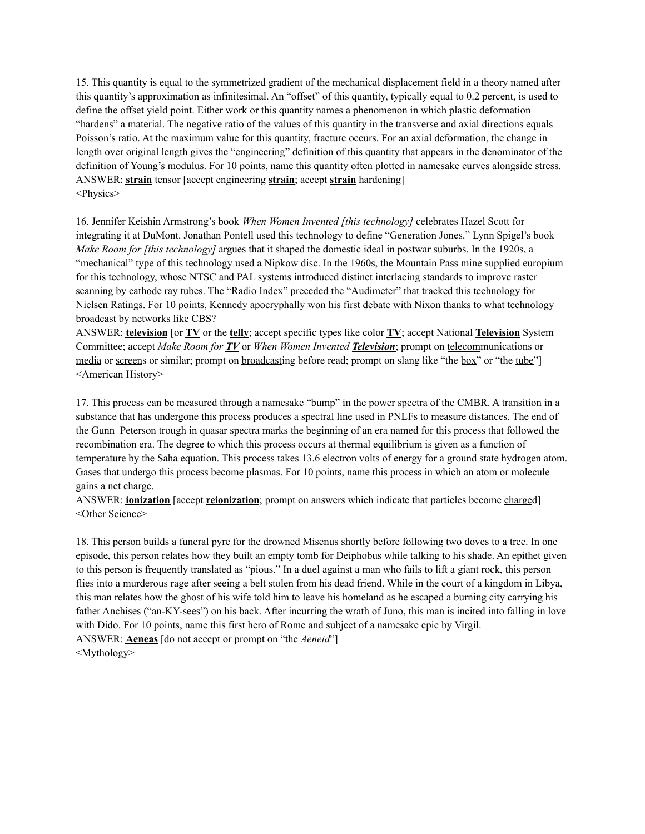15. This quantity is equal to the symmetrized gradient of the mechanical displacement field in a theory named after this quantity's approximation as infinitesimal. An "offset" of this quantity, typically equal to 0.2 percent, is used to define the offset yield point. Either work or this quantity names a phenomenon in which plastic deformation "hardens" a material. The negative ratio of the values of this quantity in the transverse and axial directions equals Poisson's ratio. At the maximum value for this quantity, fracture occurs. For an axial deformation, the change in length over original length gives the "engineering" definition of this quantity that appears in the denominator of the definition of Young's modulus. For 10 points, name this quantity often plotted in namesake curves alongside stress. ANSWER: **strain** tensor [accept engineering **strain**; accept **strain** hardening] <Physics>

16. Jennifer Keishin Armstrong's book *When Women Invented [this technology]* celebrates Hazel Scott for integrating it at DuMont. Jonathan Pontell used this technology to define "Generation Jones." Lynn Spigel's book *Make Room for [this technology]* argues that it shaped the domestic ideal in postwar suburbs. In the 1920s, a "mechanical" type of this technology used a Nipkow disc. In the 1960s, the Mountain Pass mine supplied europium for this technology, whose NTSC and PAL systems introduced distinct interlacing standards to improve raster scanning by cathode ray tubes. The "Radio Index" preceded the "Audimeter" that tracked this technology for Nielsen Ratings. For 10 points, Kennedy apocryphally won his first debate with Nixon thanks to what technology broadcast by networks like CBS?

ANSWER: **television** [or **TV** or the **telly**; accept specific types like color **TV**; accept National **Television** System Committee; accept *Make Room for TV* or *When Women Invented Television*; prompt on telecommunications or media or screens or similar; prompt on broadcasting before read; prompt on slang like "the box" or "the tube"] <American History>

17. This process can be measured through a namesake "bump" in the power spectra of the CMBR. A transition in a substance that has undergone this process produces a spectral line used in PNLFs to measure distances. The end of the Gunn–Peterson trough in quasar spectra marks the beginning of an era named for this process that followed the recombination era. The degree to which this process occurs at thermal equilibrium is given as a function of temperature by the Saha equation. This process takes 13.6 electron volts of energy for a ground state hydrogen atom. Gases that undergo this process become plasmas. For 10 points, name this process in which an atom or molecule gains a net charge.

ANSWER: **ionization** [accept **reionization**; prompt on answers which indicate that particles become charged] <Other Science>

18. This person builds a funeral pyre for the drowned Misenus shortly before following two doves to a tree. In one episode, this person relates how they built an empty tomb for Deiphobus while talking to his shade. An epithet given to this person is frequently translated as "pious." In a duel against a man who fails to lift a giant rock, this person flies into a murderous rage after seeing a belt stolen from his dead friend. While in the court of a kingdom in Libya, this man relates how the ghost of his wife told him to leave his homeland as he escaped a burning city carrying his father Anchises ("an-KY-sees") on his back. After incurring the wrath of Juno, this man is incited into falling in love with Dido. For 10 points, name this first hero of Rome and subject of a namesake epic by Virgil. ANSWER: **Aeneas** [do not accept or prompt on "the *Aeneid*"] <Mythology>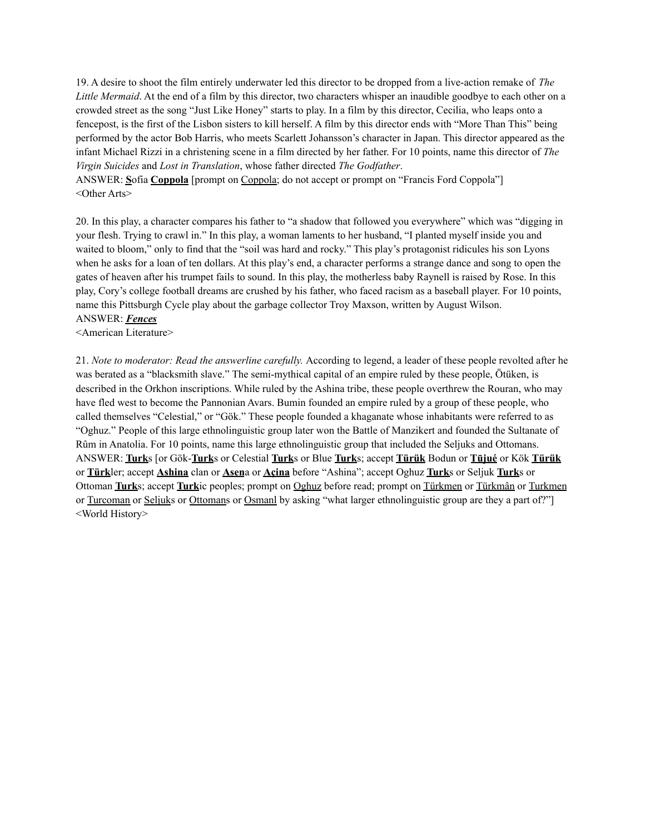19. A desire to shoot the film entirely underwater led this director to be dropped from a live-action remake of *The Little Mermaid*. At the end of a film by this director, two characters whisper an inaudible goodbye to each other on a crowded street as the song "Just Like Honey" starts to play. In a film by this director, Cecilia, who leaps onto a fencepost, is the first of the Lisbon sisters to kill herself. A film by this director ends with "More Than This" being performed by the actor Bob Harris, who meets Scarlett Johansson's character in Japan. This director appeared as the infant Michael Rizzi in a christening scene in a film directed by her father. For 10 points, name this director of *The Virgin Suicides* and *Lost in Translation*, whose father directed *The Godfather*.

ANSWER: **S**ofia **Coppola** [prompt on Coppola; do not accept or prompt on "Francis Ford Coppola"] <Other Arts>

20. In this play, a character compares his father to "a shadow that followed you everywhere" which was "digging in your flesh. Trying to crawl in." In this play, a woman laments to her husband, "I planted myself inside you and waited to bloom," only to find that the "soil was hard and rocky." This play's protagonist ridicules his son Lyons when he asks for a loan of ten dollars. At this play's end, a character performs a strange dance and song to open the gates of heaven after his trumpet fails to sound. In this play, the motherless baby Raynell is raised by Rose. In this play, Cory's college football dreams are crushed by his father, who faced racism as a baseball player. For 10 points, name this Pittsburgh Cycle play about the garbage collector Troy Maxson, written by August Wilson. ANSWER: *Fences*

<American Literature>

21. *Note to moderator: Read the answerline carefully.* According to legend, a leader of these people revolted after he was berated as a "blacksmith slave." The semi-mythical capital of an empire ruled by these people, Ötüken, is described in the Orkhon inscriptions. While ruled by the Ashina tribe, these people overthrew the Rouran, who may have fled west to become the Pannonian Avars. Bumin founded an empire ruled by a group of these people, who called themselves "Celestial," or "Gök." These people founded a khaganate whose inhabitants were referred to as "Oghuz." People of this large ethnolinguistic group later won the Battle of Manzikert and founded the Sultanate of Rûm in Anatolia. For 10 points, name this large ethnolinguistic group that included the Seljuks and Ottomans. ANSWER: **Turk**s [or Gök-**Turk**s or Celestial **Turk**s or Blue **Turk**s; accept **Türük** Bodun or **Tūjué** or Kök **Türük** or **Türk**ler; accept **Ashina** clan or **Asen**a or **Açina** before "Ashina"; accept Oghuz **Turk**s or Seljuk **Turk**s or Ottoman **Turk**s; accept **Turk**ic peoples; prompt on Oghuz before read; prompt on Türkmen or Türkmân or Turkmen or Turcoman or Seljuks or Ottomans or Osmanl by asking "what larger ethnolinguistic group are they a part of?"] <World History>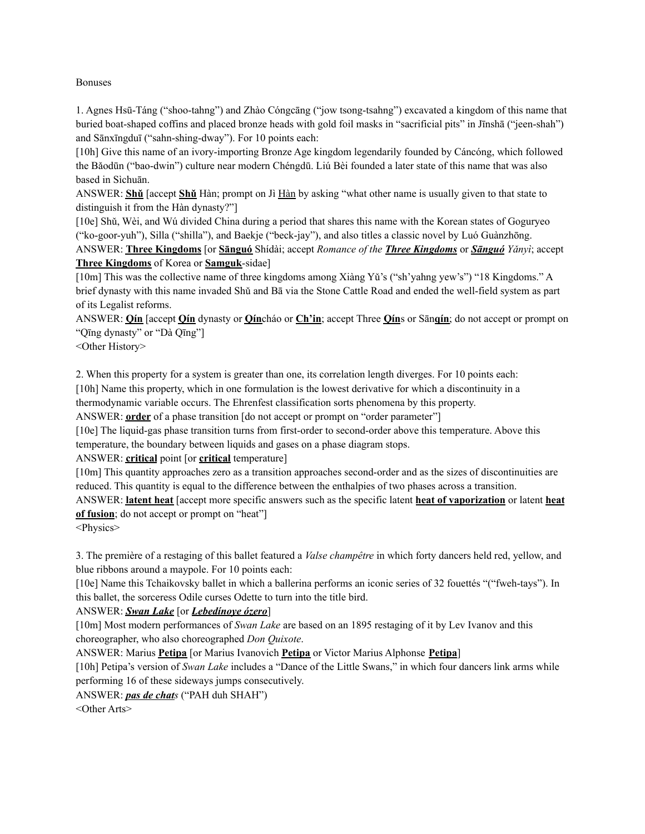#### Bonuses

1. Agnes Hsū-Táng ("shoo-tahng") and Zhào Cóngcāng ("jow tsong-tsahng") excavated a kingdom of this name that buried boat-shaped coffins and placed bronze heads with gold foil masks in "sacrificial pits" in Jīnshā ("jeen-shah") and Sānxīngduī ("sahn-shing-dway"). For 10 points each:

[10h] Give this name of an ivory-importing Bronze Age kingdom legendarily founded by Cáncóng, which followed the Bǎodūn ("bao-dwin") culture near modern Chéngdū. Liú Bèi founded a later state of this name that was also based in Sìchuān.

ANSWER: **Shǔ** [accept **Shǔ** Hàn; prompt on Jì Hàn by asking "what other name is usually given to that state to distinguish it from the Hàn dynasty?"]

[10e] Shǔ, Wèi, and Wú divided China during a period that shares this name with the Korean states of Goguryeo ("ko-goor-yuh"), Silla ("shilla"), and Baekje ("beck-jay"), and also titles a classic novel by Luó Guànzhōng.

ANSWER: **Three Kingdoms** [or **Sānguó** Shídài; accept *Romance of the Three Kingdoms* or *Sānguó Yǎnyì*; accept **Three Kingdoms** of Korea or **Samguk**-sidae]

[10m] This was the collective name of three kingdoms among Xiàng Yǔ's ("sh'yahng yew's") "18 Kingdoms." A brief dynasty with this name invaded Shǔ and Bā via the Stone Cattle Road and ended the well-field system as part of its Legalist reforms.

ANSWER: **Qín** [accept **Qín** dynasty or **Qín**cháo or **Ch'in**; accept Three **Qín**s or Sān**qín**; do not accept or prompt on "Qīng dynasty" or "Dà Qīng"]

<Other History>

2. When this property for a system is greater than one, its correlation length diverges. For 10 points each: [10h] Name this property, which in one formulation is the lowest derivative for which a discontinuity in a thermodynamic variable occurs. The Ehrenfest classification sorts phenomena by this property.

ANSWER: **order** of a phase transition [do not accept or prompt on "order parameter"]

[10e] The liquid-gas phase transition turns from first-order to second-order above this temperature. Above this temperature, the boundary between liquids and gases on a phase diagram stops.

ANSWER: **critical** point [or **critical** temperature]

[10m] This quantity approaches zero as a transition approaches second-order and as the sizes of discontinuities are reduced. This quantity is equal to the difference between the enthalpies of two phases across a transition.

ANSWER: **latent heat** [accept more specific answers such as the specific latent **heat of vaporization** or latent **heat of fusion**; do not accept or prompt on "heat"]

<Physics>

3. The première of a restaging of this ballet featured a *Valse champêtre* in which forty dancers held red, yellow, and blue ribbons around a maypole. For 10 points each:

[10e] Name this Tchaikovsky ballet in which a ballerina performs an iconic series of 32 fouettés "("fweh-tays"). In this ballet, the sorceress Odile curses Odette to turn into the title bird.

ANSWER: *Swan Lake* [or *Lebedínoye ózero*]

[10m] Most modern performances of *Swan Lake* are based on an 1895 restaging of it by Lev Ivanov and this choreographer, who also choreographed *Don Quixote*.

ANSWER: Marius **Petipa** [or Marius Ivanovich **Petipa** or Victor Marius Alphonse **Petipa**]

[10h] Petipa's version of *Swan Lake* includes a "Dance of the Little Swans," in which four dancers link arms while performing 16 of these sideways jumps consecutively.

ANSWER: *pas de chats* ("PAH duh SHAH")

<Other Arts>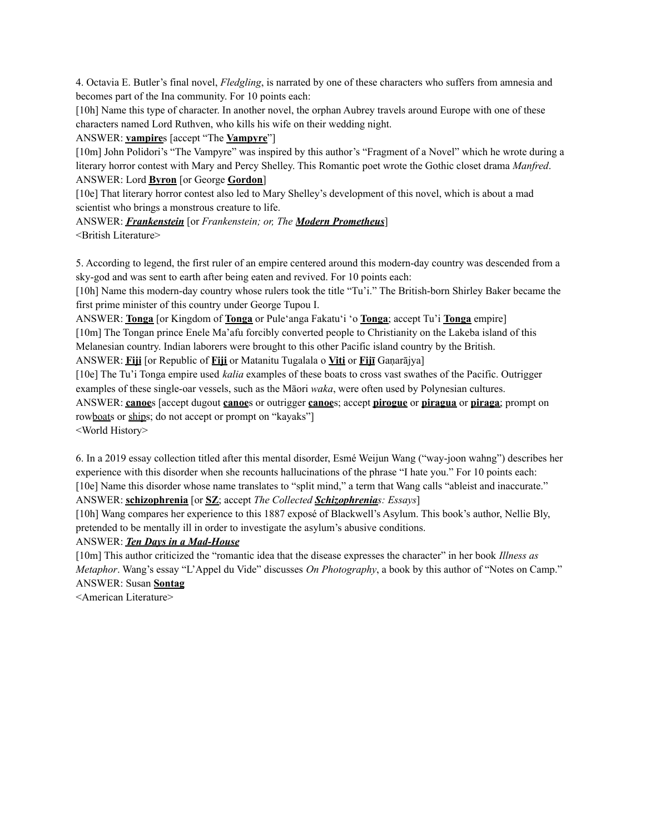4. Octavia E. Butler's final novel, *Fledgling*, is narrated by one of these characters who suffers from amnesia and becomes part of the Ina community. For 10 points each:

[10h] Name this type of character. In another novel, the orphan Aubrey travels around Europe with one of these characters named Lord Ruthven, who kills his wife on their wedding night.

ANSWER: **vampire**s [accept "The **Vampyre**"]

[10m] John Polidori's "The Vampyre" was inspired by this author's "Fragment of a Novel" which he wrote during a literary horror contest with Mary and Percy Shelley. This Romantic poet wrote the Gothic closet drama *Manfred*. ANSWER: Lord **Byron** [or George **Gordon**]

[10e] That literary horror contest also led to Mary Shelley's development of this novel, which is about a mad scientist who brings a monstrous creature to life.

ANSWER: *Frankenstein* [or *Frankenstein; or, The Modern Prometheus*] <British Literature>

5. According to legend, the first ruler of an empire centered around this modern-day country was descended from a sky-god and was sent to earth after being eaten and revived. For 10 points each:

[10h] Name this modern-day country whose rulers took the title "Tu'i." The British-born Shirley Baker became the first prime minister of this country under George Tupou I.

ANSWER: **Tonga** [or Kingdom of **Tonga** or Pule'anga Fakatu'i 'o **Tonga**; accept Tu'i **Tonga** empire]

[10m] The Tongan prince Enele Ma'afu forcibly converted people to Christianity on the Lakeba island of this Melanesian country. Indian laborers were brought to this other Pacific island country by the British.

ANSWER: **Fiji** [or Republic of **Fiji** or Matanitu Tugalala o **Viti** or **Fijī** Gaṇarājya]

[10e] The Tu'i Tonga empire used *kalia* examples of these boats to cross vast swathes of the Pacific. Outrigger examples of these single-oar vessels, such as the Māori *waka*, were often used by Polynesian cultures.

ANSWER: **canoe**s [accept dugout **canoe**s or outrigger **canoe**s; accept **pirogue** or **piragua** or **piraga**; prompt on rowboats or ships; do not accept or prompt on "kayaks"]

<World History>

6. In a 2019 essay collection titled after this mental disorder, Esmé Weijun Wang ("way-joon wahng") describes her experience with this disorder when she recounts hallucinations of the phrase "I hate you." For 10 points each: [10e] Name this disorder whose name translates to "split mind," a term that Wang calls "ableist and inaccurate." ANSWER: **schizophrenia** [or **SZ**; accept *The Collected Schizophrenias: Essays*]

[10h] Wang compares her experience to this 1887 exposé of Blackwell's Asylum. This book's author, Nellie Bly, pretended to be mentally ill in order to investigate the asylum's abusive conditions.

ANSWER: *Ten Days in a Mad-House*

[10m] This author criticized the "romantic idea that the disease expresses the character" in her book *Illness as Metaphor*. Wang's essay "L'Appel du Vide" discusses *On Photography*, a book by this author of "Notes on Camp." ANSWER: Susan **Sontag**

<American Literature>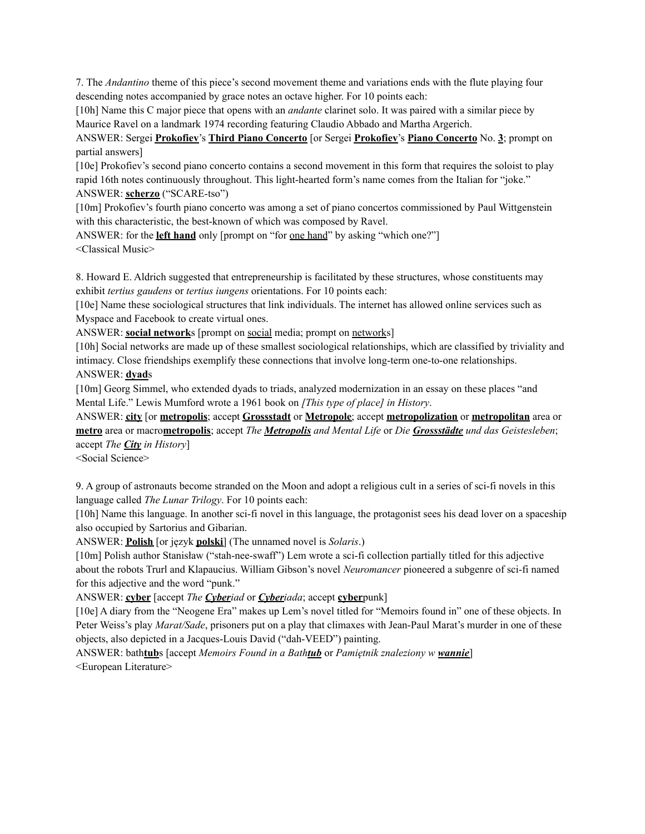7. The *Andantino* theme of this piece's second movement theme and variations ends with the flute playing four descending notes accompanied by grace notes an octave higher. For 10 points each:

[10h] Name this C major piece that opens with an *andante* clarinet solo. It was paired with a similar piece by Maurice Ravel on a landmark 1974 recording featuring Claudio Abbado and Martha Argerich.

ANSWER: Sergei **Prokofiev**'s **Third Piano Concerto** [or Sergei **Prokofiev**'s **Piano Concerto** No. **3**; prompt on partial answers]

[10e] Prokofiev's second piano concerto contains a second movement in this form that requires the soloist to play rapid 16th notes continuously throughout. This light-hearted form's name comes from the Italian for "joke." ANSWER: **scherzo** ("SCARE-tso")

[10m] Prokofiev's fourth piano concerto was among a set of piano concertos commissioned by Paul Wittgenstein with this characteristic, the best-known of which was composed by Ravel.

ANSWER: for the **left hand** only [prompt on "for one hand" by asking "which one?"]

<Classical Music>

8. Howard E. Aldrich suggested that entrepreneurship is facilitated by these structures, whose constituents may exhibit *tertius gaudens* or *tertius iungens* orientations. For 10 points each:

[10e] Name these sociological structures that link individuals. The internet has allowed online services such as Myspace and Facebook to create virtual ones.

ANSWER: **social network**s [prompt on social media; prompt on networks]

[10h] Social networks are made up of these smallest sociological relationships, which are classified by triviality and intimacy. Close friendships exemplify these connections that involve long-term one-to-one relationships.

#### ANSWER: **dyad**s

[10m] Georg Simmel, who extended dyads to triads, analyzed modernization in an essay on these places "and" Mental Life." Lewis Mumford wrote a 1961 book on *[This type of place] in History*.

ANSWER: **city** [or **metropolis**; accept **Grossstadt** or **Metropole**; accept **metropolization** or **metropolitan** area or **metro** area or macro**metropolis**; accept *The Metropolis and Mental Life* or *Die Grossstädte und das Geistesleben*; accept *The City in History*]

<Social Science>

9. A group of astronauts become stranded on the Moon and adopt a religious cult in a series of sci-fi novels in this language called *The Lunar Trilogy*. For 10 points each:

[10h] Name this language. In another sci-fi novel in this language, the protagonist sees his dead lover on a spaceship also occupied by Sartorius and Gibarian.

ANSWER: **Polish** [or język **polski**] (The unnamed novel is *Solaris*.)

[10m] Polish author Stanisław ("stah-nee-swaff") Lem wrote a sci-fi collection partially titled for this adjective about the robots Trurl and Klapaucius. William Gibson's novel *Neuromancer* pioneered a subgenre of sci-fi named for this adjective and the word "punk."

ANSWER: **cyber** [accept *The Cyberiad* or *Cyberiada*; accept **cyber**punk]

[10e] A diary from the "Neogene Era" makes up Lem's novel titled for "Memoirs found in" one of these objects. In Peter Weiss's play *Marat/Sade*, prisoners put on a play that climaxes with Jean-Paul Marat's murder in one of these objects, also depicted in a Jacques-Louis David ("dah-VEED") painting.

ANSWER: bath**tub**s [accept *Memoirs Found in a Bathtub* or *Pamiętnik znaleziony w wannie*] <European Literature>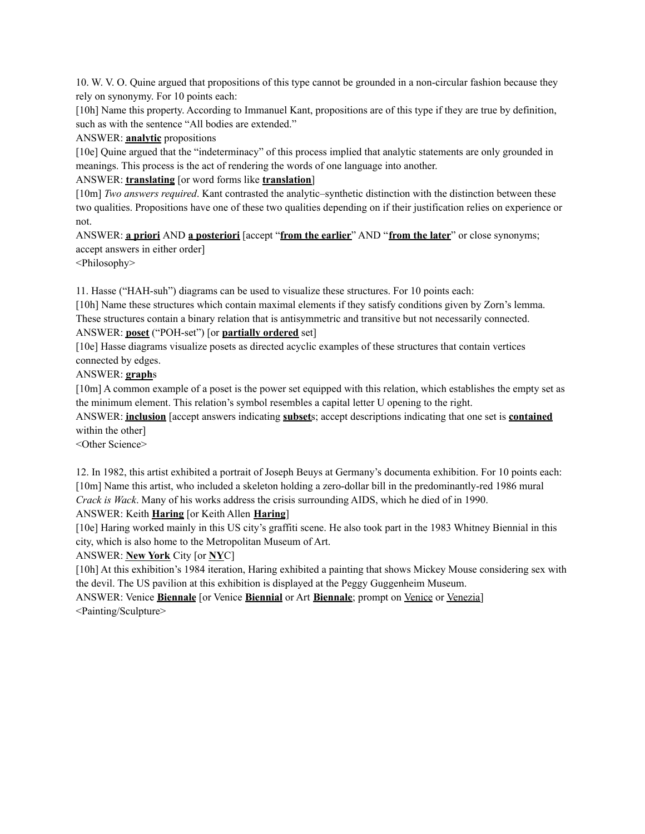10. W. V. O. Quine argued that propositions of this type cannot be grounded in a non-circular fashion because they rely on synonymy. For 10 points each:

[10h] Name this property. According to Immanuel Kant, propositions are of this type if they are true by definition, such as with the sentence "All bodies are extended."

ANSWER: **analytic** propositions

[10e] Quine argued that the "indeterminacy" of this process implied that analytic statements are only grounded in meanings. This process is the act of rendering the words of one language into another.

ANSWER: **translating** [or word forms like **translation**]

[10m] *Two answers required*. Kant contrasted the analytic–synthetic distinction with the distinction between these two qualities. Propositions have one of these two qualities depending on if their justification relies on experience or not.

ANSWER: **a priori** AND **a posteriori** [accept "**from the earlier**" AND "**from the later**" or close synonyms; accept answers in either order]

<Philosophy>

11. Hasse ("HAH-suh") diagrams can be used to visualize these structures. For 10 points each:

[10h] Name these structures which contain maximal elements if they satisfy conditions given by Zorn's lemma. These structures contain a binary relation that is antisymmetric and transitive but not necessarily connected.

## ANSWER: **poset** ("POH-set") [or **partially ordered** set]

[10e] Hasse diagrams visualize posets as directed acyclic examples of these structures that contain vertices connected by edges.

ANSWER: **graph**s

[10m] A common example of a poset is the power set equipped with this relation, which establishes the empty set as the minimum element. This relation's symbol resembles a capital letter U opening to the right.

ANSWER: **inclusion** [accept answers indicating **subset**s; accept descriptions indicating that one set is **contained** within the other]

<Other Science>

12. In 1982, this artist exhibited a portrait of Joseph Beuys at Germany's documenta exhibition. For 10 points each: [10m] Name this artist, who included a skeleton holding a zero-dollar bill in the predominantly-red 1986 mural *Crack is Wack*. Many of his works address the crisis surrounding AIDS, which he died of in 1990.

ANSWER: Keith **Haring** [or Keith Allen **Haring**]

[10e] Haring worked mainly in this US city's graffiti scene. He also took part in the 1983 Whitney Biennial in this city, which is also home to the Metropolitan Museum of Art.

# ANSWER: **New York** City [or **NY**C]

[10h] At this exhibition's 1984 iteration, Haring exhibited a painting that shows Mickey Mouse considering sex with the devil. The US pavilion at this exhibition is displayed at the Peggy Guggenheim Museum.

ANSWER: Venice **Biennale** [or Venice **Biennial** or Art **Biennale**; prompt on Venice or Venezia] <Painting/Sculpture>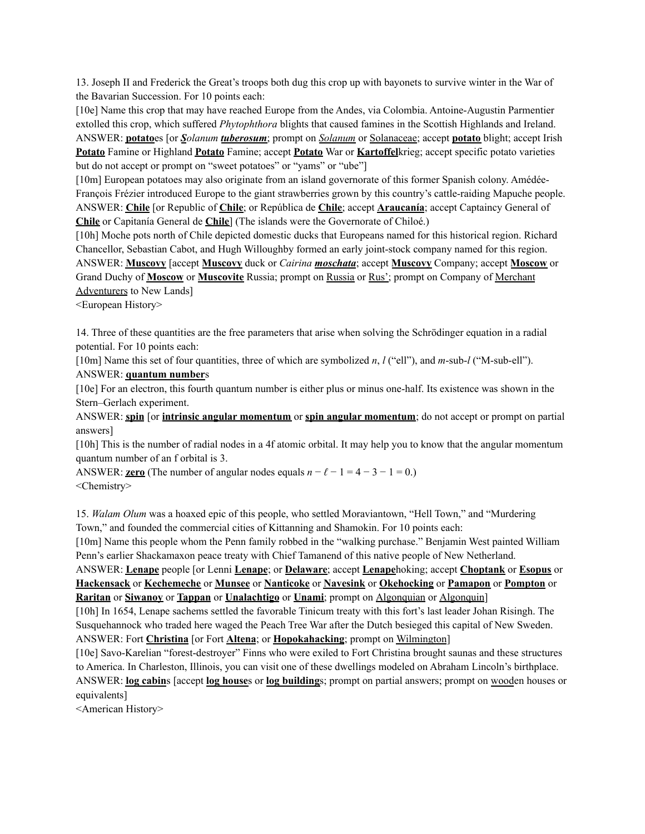13. Joseph II and Frederick the Great's troops both dug this crop up with bayonets to survive winter in the War of the Bavarian Succession. For 10 points each:

[10e] Name this crop that may have reached Europe from the Andes, via Colombia. Antoine-Augustin Parmentier extolled this crop, which suffered *Phytophthora* blights that caused famines in the Scottish Highlands and Ireland.

ANSWER: **potato**es [or *Solanum tuberosum*; prompt on *Solanum* or Solanaceae; accept **potato** blight; accept Irish **Potato** Famine or Highland **Potato** Famine; accept **Potato** War or **Kartoffel**krieg; accept specific potato varieties but do not accept or prompt on "sweet potatoes" or "yams" or "ube"]

[10m] European potatoes may also originate from an island governorate of this former Spanish colony. Amédée-François Frézier introduced Europe to the giant strawberries grown by this country's cattle-raiding Mapuche people. ANSWER: **Chile** [or Republic of **Chile**; or República de **Chile**; accept **Araucanía**; accept Captaincy General of **Chile** or Capitanía General de **Chile**] (The islands were the Governorate of Chiloé.)

[10h] Moche pots north of Chile depicted domestic ducks that Europeans named for this historical region. Richard Chancellor, Sebastian Cabot, and Hugh Willoughby formed an early joint-stock company named for this region. ANSWER: **Muscovy** [accept **Muscovy** duck or *Cairina moschata*; accept **Muscovy** Company; accept **Moscow** or Grand Duchy of **Moscow** or **Muscovite** Russia; prompt on Russia or Rus'; prompt on Company of Merchant Adventurers to New Lands]

<European History>

14. Three of these quantities are the free parameters that arise when solving the Schrödinger equation in a radial potential. For 10 points each:

[10m] Name this set of four quantities, three of which are symbolized *n*, *l* ("ell"), and *m*-sub-*l* ("M-sub-ell").

ANSWER: **quantum number**s

[10e] For an electron, this fourth quantum number is either plus or minus one-half. Its existence was shown in the Stern–Gerlach experiment.

ANSWER: **spin** [or **intrinsic angular momentum** or **spin angular momentum**; do not accept or prompt on partial answers]

[10h] This is the number of radial nodes in a 4f atomic orbital. It may help you to know that the angular momentum quantum number of an f orbital is 3.

ANSWER: **zero** (The number of angular nodes equals  $n - \ell - 1 = 4 - 3 - 1 = 0$ .) <Chemistry>

15. *Walam Olum* was a hoaxed epic of this people, who settled Moraviantown, "Hell Town," and "Murdering Town," and founded the commercial cities of Kittanning and Shamokin. For 10 points each:

[10m] Name this people whom the Penn family robbed in the "walking purchase." Benjamin West painted William Penn's earlier Shackamaxon peace treaty with Chief Tamanend of this native people of New Netherland.

ANSWER: **Lenape** people [or Lenni **Lenape**; or **Delaware**; accept **Lenape**hoking; accept **Choptank** or **Esopus** or **Hackensack** or **Kechemeche** or **Munsee** or **Nanticoke** or **Navesink** or **Okehocking** or **Pamapon** or **Pompton** or **Raritan** or **Siwanoy** or **Tappan** or **Unalachtigo** or **Unami**; prompt on Algonquian or Algonquin]

[10h] In 1654, Lenape sachems settled the favorable Tinicum treaty with this fort's last leader Johan Risingh. The Susquehannock who traded here waged the Peach Tree War after the Dutch besieged this capital of New Sweden. ANSWER: Fort **Christina** [or Fort **Altena**; or **Hopokahacking**; prompt on Wilmington]

[10e] Savo-Karelian "forest-destroyer" Finns who were exiled to Fort Christina brought saunas and these structures to America. In Charleston, Illinois, you can visit one of these dwellings modeled on Abraham Lincoln's birthplace. ANSWER: **log cabin**s [accept **log house**s or **log building**s; prompt on partial answers; prompt on wooden houses or equivalents]

<American History>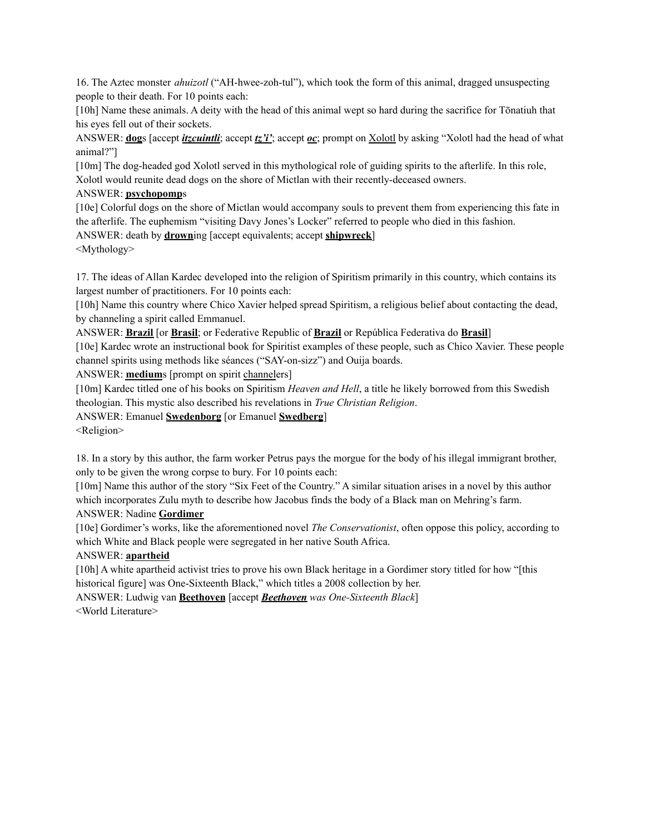16. The Aztec monster *ahuizotl* ("AH-hwee-zoh-tul"), which took the form of this animal, dragged unsuspecting people to their death. For 10 points each:

[10h] Name these animals. A deity with the head of this animal wept so hard during the sacrifice for Tōnatiuh that his eyes fell out of their sockets.

ANSWER: **dog**s [accept *itzcuintli*; accept *tz'i'*; accept *oc*; prompt on Xolotl by asking "Xolotl had the head of what animal?"]

[10m] The dog-headed god Xolotl served in this mythological role of guiding spirits to the afterlife. In this role, Xolotl would reunite dead dogs on the shore of Mictlan with their recently-deceased owners.

### ANSWER: **psychopomp**s

[10e] Colorful dogs on the shore of Mictlan would accompany souls to prevent them from experiencing this fate in the afterlife. The euphemism "visiting Davy Jones's Locker" referred to people who died in this fashion. ANSWER: death by **drown**ing [accept equivalents; accept **shipwreck**]

<Mythology>

17. The ideas of Allan Kardec developed into the religion of Spiritism primarily in this country, which contains its largest number of practitioners. For 10 points each:

[10h] Name this country where Chico Xavier helped spread Spiritism, a religious belief about contacting the dead, by channeling a spirit called Emmanuel.

ANSWER: **Brazil** [or **Brasil**; or Federative Republic of **Brazil** or República Federativa do **Brasil**]

[10e] Kardec wrote an instructional book for Spiritist examples of these people, such as Chico Xavier. These people channel spirits using methods like séances ("SAY-on-sizz") and Ouija boards.

ANSWER: **medium**s [prompt on spirit channelers]

[10m] Kardec titled one of his books on Spiritism *Heaven and Hell*, a title he likely borrowed from this Swedish theologian. This mystic also described his revelations in *True Christian Religion*.

ANSWER: Emanuel **Swedenborg** [or Emanuel **Swedberg**]

<Religion>

18. In a story by this author, the farm worker Petrus pays the morgue for the body of his illegal immigrant brother, only to be given the wrong corpse to bury. For 10 points each:

[10m] Name this author of the story "Six Feet of the Country." A similar situation arises in a novel by this author which incorporates Zulu myth to describe how Jacobus finds the body of a Black man on Mehring's farm.

### ANSWER: Nadine **Gordimer**

[10e] Gordimer's works, like the aforementioned novel *The Conservationist*, often oppose this policy, according to which White and Black people were segregated in her native South Africa.

# ANSWER: **apartheid**

[10h] A white apartheid activist tries to prove his own Black heritage in a Gordimer story titled for how "[this historical figure] was One-Sixteenth Black," which titles a 2008 collection by her.

ANSWER: Ludwig van **Beethoven** [accept *Beethoven was One-Sixteenth Black*] <World Literature>